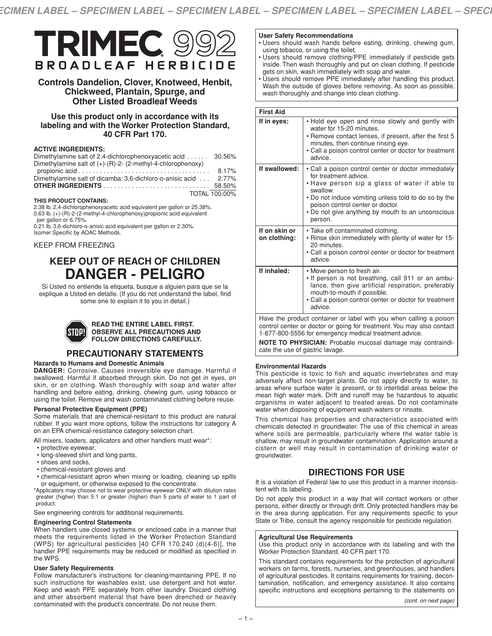

# **Controls Dandelion, Clover, Knotweed, Henbit, Chickweed, Plantain, Spurge, and Other Listed Broadleaf Weeds**

# **Use this product only in accordance with its labeling and with the Worker Protection Standard, 40 CFR Part 170.**

# **ACTIVE INGREDIENTS:**

| Dimethylamine salt of 2,4-dichlorophenoxyacetic acid  30.56%       |               |
|--------------------------------------------------------------------|---------------|
| Dimethylamine salt of $(+)$ - $(R)$ -2- (2-methyl-4-chlorophenoxy) |               |
|                                                                    | 8.17%         |
| Dimethylamine salt of dicamba: 3.6-dichloro-o-anisic acid  2.77%   |               |
|                                                                    |               |
|                                                                    | TOTAL 100.00% |

# **THIS PRODUCT CONTAINS:**

2.38 lb. 2,4-dichlorophenoxyacetic acid equivalent per gallon or 25.38%. 0.63 lb. (+)-(R)-2-(2-methyl-4-chlorophenoxy)propionic acid equivalent per gallon or 6.75%.

0.21 lb. 3,6-dichloro-o-anisic acid equivalent per gallon or 2.30%. Isomer Specific by AOAC Methods.

# KEEP FROM FREEZING

# **KEEP OUT OF REACH OF CHILDREN DANGER - PELIGRO**

Si Usted no entiende la etiqueta, busque a alguien para que se la explique a Usted en detalle. (If you do not understand the label, find some one to explain it to you in detail.)



#### **READ THE ENTIRE LABEL FIRST. OBSERVE ALL PRECAUTIONS AND FOLLOW DIRECTIONS CAREFULLY.**

# **PRECAUTIONARY STATEMENTS**

# **Hazards to Humans and Domestic Animals**

**DANGER:** Corrosive. Causes irreversible eye damage. Harmful if swallowed. Harmful if absorbed through skin. Do not get in eyes, on skin, or on clothing. Wash thoroughly with soap and water after handling and before eating, drinking, chewing gum, using tobacco or using the toilet. Remove and wash contaminated clothing before reuse.

# **Personal Protective Equipment (PPE)**

Some materials that are chemical-resistant to this product are natural rubber. If you want more options, follow the instructions for category A on an EPA chemical-resistance category selection chart.

All mixers, loaders, applicators and other handlers must wear\*:

- protective eyewear,
- long-sleeved shirt and long pants,
- shoes and socks,
- chemical-resistant gloves and
- chemical-resistant apron when mixing or loading, cleaning up spills or equipment, or otherwise exposed to the concentrate.

\*Applicators may choose not to wear protective eyewear ONLY with dilution rates greater (higher) than 5:1 or greater (higher) than 5 parts of water to 1 part of product.

See engineering controls for additional requirements.

# **Engineering Control Statements**

When handlers use closed systems or enclosed cabs in a manner that meets the requirements listed in the Worker Protection Standard (WPS) for agricultural pesticides [40 CFR 170.240 (d)(4-6)], the handler PPE requirements may be reduced or modified as specified in the WPS.

# **User Safety Requirements**

Follow manufacturer's instructions for cleaning/maintaining PPE. If no such instructions for washables exist, use detergent and hot water. Keep and wash PPE separately from other laundry. Discard clothing and other absorbent material that have been drenched or heavily contaminated with the product's concentrate. Do not reuse them.

# **User Safety Recommendations**

- Users should wash hands before eating, drinking, chewing gum, using tobacco, or using the toilet.
- Users should remove clothing/PPE immediately if pesticide gets inside. Then wash thoroughly and put on clean clothing. If pesticide gets on skin, wash immediately with soap and water.
- Users should remove PPE immediately after handling this product. Wash the outside of gloves before removing. As soon as possible, wash thoroughly and change into clean clothing.

| <b>First Aid</b>              |                                                                                                                                                                                                                                                                                                        |
|-------------------------------|--------------------------------------------------------------------------------------------------------------------------------------------------------------------------------------------------------------------------------------------------------------------------------------------------------|
| If in eyes:                   | . Hold eye open and rinse slowly and gently with<br>water for 15-20 minutes.<br>• Remove contact lenses, if present, after the first 5<br>minutes, then continue rinsing eye.<br>• Call a poison control center or doctor for treatment<br>advice.                                                     |
| If swallowed:                 | • Call a poison control center or doctor immediately<br>for treatment advice.<br>• Have person sip a glass of water if able to<br>swallow.<br>• Do not induce vomiting unless told to do so by the<br>poison control center or doctor.<br>• Do not give anything by mouth to an unconscious<br>person. |
| If on skin or<br>on clothing: | • Take off contaminated clothing.<br>. Rinse skin immediately with plenty of water for 15-<br>20 minutes.<br>• Call a poison control center or doctor for treatment<br>advice.                                                                                                                         |
| If inhaled:                   | • Move person to fresh air.<br>. If person is not breathing, call 911 or an ambu-<br>lance, then give artificial respiration, preferably<br>mouth-to-mouth if possible.<br>• Call a poison control center or doctor for treatment<br>advice.                                                           |

Have the product container or label with you when calling a poison control center or doctor or going for treatment. You may also contact 1-877-800-5556 for emergency medical treatment advice.

**NOTE TO PHYSICIAN:** Probable mucosal damage may contraindicate the use of gastric lavage.

# **Environmental Hazards**

This pesticide is toxic to fish and aquatic invertebrates and may adversely affect non-target plants. Do not apply directly to water, to areas where surface water is present, or to intertidal areas below the mean high water mark. Drift and runoff may be hazardous to aquatic organisms in water adjacent to treated areas. Do not contaminate water when disposing of equipment wash waters or rinsate.

This chemical has properties and characteristics associated with chemicals detected in groundwater. The use of this chemical in areas where soils are permeable, particularly where the water table is shallow, may result in groundwater contamination. Application around a cistern or well may result in contamination of drinking water or groundwater.

# **DIRECTIONS FOR USE**

It is a violation of Federal law to use this product in a manner inconsistent with its labeling.

Do not apply this product in a way that will contact workers or other persons, either directly or through drift. Only protected handlers may be in the area during application. For any requirements specific to your State or Tribe, consult the agency responsible for pesticide regulation.

# **Agricultural Use Requirements**

Use this product only in accordance with its labeling and with the Worker Protection Standard, 40 CFR part 170.

This standard contains requirements for the protection of agricultural workers on farms, forests, nurseries, and greenhouses, and handlers of agricultural pesticides. It contains requirements for training, decontamination, notification, and emergency assistance. It also contains specific instructions and exceptions pertaining to the statements on

*(cont. on next page)*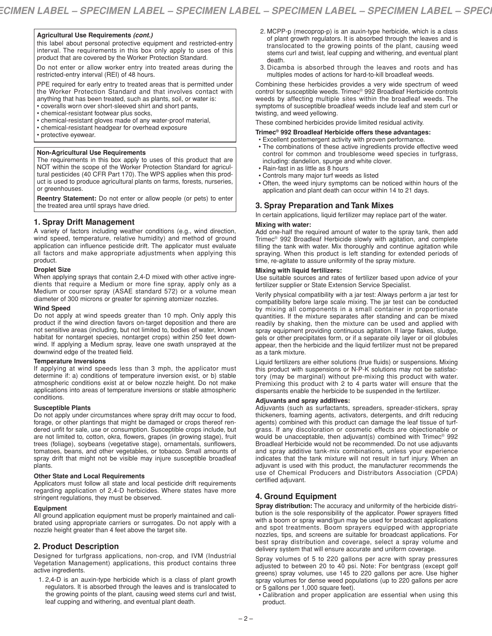this label about personal protective equipment and restricted-entry interval. The requirements in this box only apply to uses of this product that are covered by the Worker Protection Standard.

Do not enter or allow worker entry into treated areas during the restricted-entry interval (REI) of 48 hours.

PPE required for early entry to treated areas that is permitted under the Worker Protection Standard and that involves contact with anything that has been treated, such as plants, soil, or water is: • coveralls worn over short-sleeved shirt and short pants,

- 
- chemical-resistant footwear plus socks,
- chemical-resistant gloves made of any water-proof material,
- chemical-resistant headgear for overhead exposure
- protective eyewear.

#### **Non-Agricultural Use Requirements**

The requirements in this box apply to uses of this product that are NOT within the scope of the Worker Protection Standard for agricultural pesticides (40 CFR Part 170). The WPS applies when this product is used to produce agricultural plants on farms, forests, nurseries, or greenhouses.

**Reentry Statement:** Do not enter or allow people (or pets) to enter the treated area until sprays have dried.

# **1. Spray Drift Management**

A variety of factors including weather conditions (e.g., wind direction, wind speed, temperature, relative humidity) and method of ground application can influence pesticide drift. The applicator must evaluate all factors and make appropriate adjustments when applying this product.

#### **Droplet Size**

When applying sprays that contain 2,4-D mixed with other active ingredients that require a Medium or more fine spray, apply only as a Medium or courser spray (ASAE standard 572) or a volume mean diameter of 300 microns or greater for spinning atomizer nozzles.

#### **Wind Speed**

Do not apply at wind speeds greater than 10 mph. Only apply this product if the wind direction favors on-target deposition and there are not sensitive areas (including, but not limited to, bodies of water, known habitat for nontarget species, nontarget crops) within 250 feet downwind. If applying a Medium spray, leave one swath unsprayed at the downwind edge of the treated field.

#### **Temperature Inversions**

If applying at wind speeds less than 3 mph, the applicator must determine if: a) conditions of temperature inversion exist, or b) stable atmospheric conditions exist at or below nozzle height. Do not make applications into areas of temperature inversions or stable atmospheric conditions.

#### **Susceptible Plants**

Do not apply under circumstances where spray drift may occur to food, forage, or other plantings that might be damaged or crops thereof rendered unfit for sale, use or consumption. Susceptible crops include, but are not limited to, cotton, okra, flowers, grapes (in growing stage), fruit trees (foliage), soybeans (vegetative stage), ornamentals, sunflowers, tomatoes, beans, and other vegetables, or tobacco. Small amounts of spray drift that might not be visible may injure susceptible broadleaf plants.

#### **Other State and Local Requirements**

Applicators must follow all state and local pesticide drift requirements regarding application of 2,4-D herbicides. Where states have more stringent regulations, they must be observed.

# **Equipment**

All ground application equipment must be properly maintained and calibrated using appropriate carriers or surrogates. Do not apply with a nozzle height greater than 4 feet above the target site.

# **2. Product Description**

Designed for turfgrass applications, non-crop, and IVM (Industrial Vegetation Management) applications, this product contains three active ingredients.

1. 2,4-D is an auxin-type herbicide which is a class of plant growth regulators. It is absorbed through the leaves and is translocated to the growing points of the plant, causing weed stems curl and twist, leaf cupping and withering, and eventual plant death.

- **Agricultural Use Requirements** *(cont.)* 2. MCPP-p (mecoprop-p) is an auxin-type herbicide, which is <sup>a</sup> class of plant growth regulators. It is absorbed through the leaves and is translocated to the growing points of the plant, causing weed stems curl and twist, leaf cupping and withering, and eventual plant death.
	- 3. Dicamba is absorbed through the leaves and roots and has multiples modes of actions for hard-to-kill broadleaf weeds.

Combining these herbicides provides a very wide spectrum of weed control for susceptible weeds. Trimec® 992 Broadleaf Herbicide controls weeds by affecting multiple sites within the broadleaf weeds. The symptoms of susceptible broadleaf weeds include leaf and stem curl or twisting, and weed yellowing.

These combined herbicides provide limited residual activity.

# **Trimec® 992 Broadleaf Herbicide offers these advantages:**

- Excellent postemergent activity with proven performance.
- The combinations of these active ingredients provide effective weed control for common and troublesome weed species in turfgrass, including: dandelion, spurge and white clover.
- Rain-fast in as little as 8 hours
- Controls many major turf weeds as listed
- Often, the weed injury symptoms can be noticed within hours of the application and plant death can occur within 14 to 21 days.

# **3. Spray Preparation and Tank Mixes**

In certain applications, liquid fertilizer may replace part of the water.

# **Mixing with water:**

Add one-half the required amount of water to the spray tank, then add Trimec® 992 Broadleaf Herbicide slowly with agitation, and complete filling the tank with water. Mix thoroughly and continue agitation while spraying. When this product is left standing for extended periods of time, re-agitate to assure uniformity of the spray mixture.

#### **Mixing with liquid fertilizers:**

Use suitable sources and rates of fertilizer based upon advice of your fertilizer supplier or State Extension Service Specialist.

Verify physical compatibility with a jar test: Always perform a jar test for compatibility before large scale mixing. The jar test can be conducted by mixing all components in a small container in proportionate quantities. If the mixture separates after standing and can be mixed readily by shaking, then the mixture can be used and applied with spray equipment providing continuous agitation. If large flakes, sludge, gels or other precipitates form, or if a separate oily layer or oil globules appear, then the herbicide and the liquid fertilizer must not be prepared as a tank mixture.

Liquid fertilizers are either solutions (true fluids) or suspensions. Mixing this product with suspensions or N-P-K solutions may not be satisfactory (may be marginal) without pre-mixing this product with water. Premixing this product with 2 to 4 parts water will ensure that the dispersants enable the herbicide to be suspended in the fertilizer.

#### **Adjuvants and spray additives:**

Adjuvants (such as surfactants, spreaders, spreader-stickers, spray thickeners, foaming agents, activators, detergents, and drift reducing agents) combined with this product can damage the leaf tissue of turfgrass. If any discoloration or cosmetic effects are objectionable or would be unacceptable, then adjuvant(s) combined with Trimec® 992 Broadleaf Herbicide would not be recommended. Do not use adjuvants and spray additive tank-mix combinations, unless your experience indicates that the tank mixture will not result in turf injury. When an adjuvant is used with this product, the manufacturer recommends the use of Chemical Producers and Distributors Association (CPDA) certified adjuvant.

# **4. Ground Equipment**

**Spray distribution:** The accuracy and uniformity of the herbicide distribution is the sole responsibility of the applicator. Power sprayers fitted with a boom or spray wand/gun may be used for broadcast applications and spot treatments. Boom sprayers equipped with appropriate nozzles, tips, and screens are suitable for broadcast applications. For best spray distribution and coverage, select a spray volume and delivery system that will ensure accurate and uniform coverage.

Spray volumes of 5 to 220 gallons per acre with spray pressures adjusted to between 20 to 40 psi. Note: For bentgrass (except golf greens) spray volumes, use 145 to 220 gallons per acre. Use higher spray volumes for dense weed populations (up to 220 gallons per acre or 5 gallons per 1,000 square feet).

• Calibration and proper application are essential when using this product.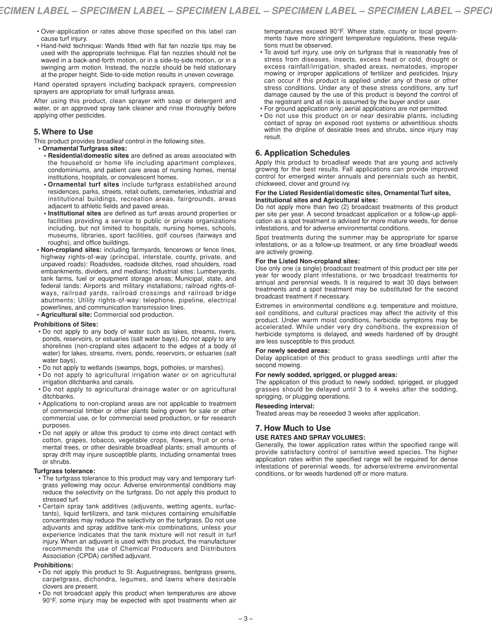- Over-application or rates above those specified on this label can cause turf injury.
- Hand-held technique: Wands fitted with flat fan nozzle tips may be used with the appropriate technique. Flat fan nozzles should not be waved in a back-and-forth motion, or in a side-to-side motion, or in a swinging arm motion. Instead, the nozzle should be held stationary at the proper height. Side-to-side motion results in uneven coverage.

Hand operated sprayers including backpack sprayers, compression sprayers are appropriate for small turfgrass areas.

After using this product, clean sprayer with soap or detergent and water, or an approved spray tank cleaner and rinse thoroughly before applying other pesticides.

# **5. Where to Use**

This product provides broadleaf control in the following sites.

- **• Ornamental Turfgrass sites: • Residential/domestic sites** are defined as areas associated with the household or home life including apartment complexes, condominiums, and patient care areas of nursing homes, mental institutions, hospitals, or convalescent homes.
	- **• Ornamental turf sites** include turfgrass established around residences, parks, streets, retail outlets, cemeteries, industrial and institutional buildings, recreation areas, fairgrounds, areas adjacent to athletic fields and paved areas.
- **• Institutional sites** are defined as turf areas around properties or facilities providing a service to public or private organizations including, but not limited to hospitals, nursing homes, schools, museums, libraries, sport facilities, golf courses (fairways and roughs), and office buildings.
- **• Non-cropland sites:** including farmyards, fencerows or fence lines, highway rights-of-way (principal, interstate, county, private, and unpaved roads): Roadsides, roadside ditches, road shoulders, road embankments, dividers, and medians; Industrial sites: Lumberyards, tank farms, fuel or equipment storage areas; Municipal, state, and federal lands: Airports and military installations; railroad rights-ofways, railroad yards, railroad crossings and railroad bridge abutments; Utility rights-of-way: telephone, pipeline, electrical powerlines, and communication transmission lines.
- **• Agricultural site:** Commercial sod production.

# **Prohibitions of Sites:**

- Do not apply to any body of water such as lakes, streams, rivers, ponds, reservoirs, or estuaries (salt water bays). Do not apply to any shorelines (non-cropland sites adjacent to the edges of a body of water) for lakes, streams, rivers, ponds, reservoirs, or estuaries (salt water bays).
- Do not apply to wetlands (swamps, bogs, potholes, or marshes).
- Do not apply to agricultural irrigation water or on agricultural irrigation ditchbanks and canals.
- Do not apply to agricultural drainage water or on agricultural ditchbanks.
- Applications to non-cropland areas are not applicable to treatment of commercial timber or other plants being grown for sale or other commercial use, or for commercial seed production, or for research purposes.
- Do not apply or allow this product to come into direct contact with cotton, grapes, tobacco, vegetable crops, flowers, fruit or ornamental trees, or other desirable broadleaf plants; small amounts of spray drift may injure susceptible plants, including ornamental trees or shrubs.

# **Turfgrass tolerance:**

- The turfgrass tolerance to this product may vary and temporary turfgrass yellowing may occur. Adverse environmental conditions may reduce the selectivity on the turfgrass. Do not apply this product to stressed turf.
- Certain spray tank additives (adjuvants, wetting agents, surfactants), liquid fertilizers, and tank mixtures containing emulsifiable concentrates may reduce the selectivity on the turfgrass. Do not use adjuvants and spray additive tank-mix combinations, unless your experience indicates that the tank mixture will not result in turf injury. When an adjuvant is used with this product, the manufacturer recommends the use of Chemical Producers and Distributors Association (CPDA) certified adjuvant.

#### **Prohibitions:**

- Do not apply this product to St. Augustinegrass, bentgrass greens, carpetgrass, dichondra, legumes, and lawns where desirable clovers are present.
- Do not broadcast apply this product when temperatures are above 90°F, some injury may be expected with spot treatments when air

temperatures exceed 90°F. Where state, county or local governments have more stringent temperature regulations, these regulations must be observed.

- To avoid turf injury, use only on turfgrass that is reasonably free of stress from diseases, insects, excess heat or cold, drought or excess rainfall/irrigation, shaded areas, nematodes, improper mowing or improper applications of fertilizer and pesticides. Injury can occur if this product is applied under any of these or other stress conditions. Under any of these stress conditions, any turf damage caused by the use of this product is beyond the control of the registrant and all risk is assumed by the buyer and/or user.
- For ground application only; aerial applications are not permitted.
- Do not use this product on or near desirable plants, including contact of spray on exposed root systems or adventitious shoots within the dripline of desirable trees and shrubs, since injury may result.

# **6. Application Schedules**

Apply this product to broadleaf weeds that are young and actively growing for the best results. Fall applications can provide improved control for emerged winter annuals and perennials such as henbit, chickweed, clover and ground ivy.

#### **For the Listed Residential/domestic sites, Ornamental Turf sites, Institutional sites and Agricultural sites:**

Do not apply more than two (2) broadcast treatments of this product per site per year. A second broadcast application or a follow-up application as a spot treatment is advised for more mature weeds, for dense infestations, and for adverse environmental conditions.

Spot treatments during the summer may be appropriate for sparse infestations, or as a follow-up treatment, or any time broadleaf weeds are actively growing.

# **For the Listed Non-cropland sites:**

Use only one (a single) broadcast treatment of this product per site per year for woody plant infestations, or two broadcast treatments for annual and perennial weeds. It is required to wait 30 days between treatments and a spot treatment may be substituted for the second broadcast treatment if necessary.

Extremes in environmental conditions e.g. temperature and moisture, soil conditions, and cultural practices may affect the activity of this product. Under warm moist conditions, herbicide symptoms may be accelerated. While under very dry conditions, the expression of herbicide symptoms is delayed, and weeds hardened off by drought are less susceptible to this product.

# **For newly seeded areas:**

Delay application of this product to grass seedlings until after the second mowing.

# **For newly sodded, sprigged, or plugged areas:**

The application of this product to newly sodded, sprigged, or plugged grasses should be delayed until 3 to 4 weeks after the sodding, sprigging, or plugging operations.

# **Reseeding interval:**

Treated areas may be reseeded 3 weeks after application.

# **7. How Much to Use**

# **USE RATES AND SPRAY VOLUMES:**

Generally, the lower application rates within the specified range will provide satisfactory control of sensitive weed species. The higher application rates within the specified range will be required for dense infestations of perennial weeds, for adverse/extreme environmental conditions, or for weeds hardened off or more mature.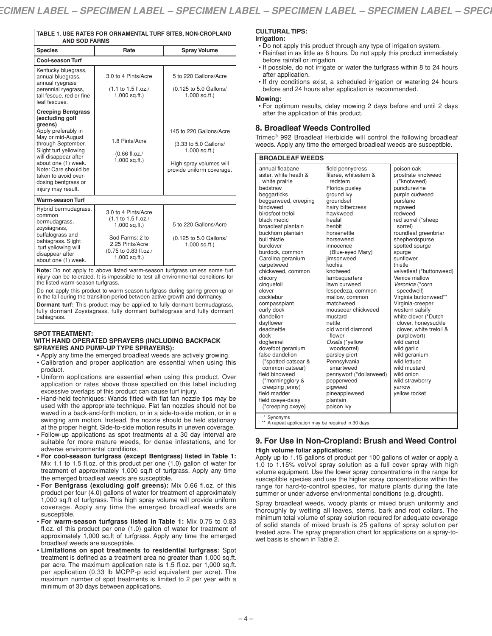| TABLE 1. USE RATES FOR ORNAMENTAL TURF SITES, NON-CROPLAND<br><b>AND SOD FARMS</b> |                                      |                                            |  |
|------------------------------------------------------------------------------------|--------------------------------------|--------------------------------------------|--|
| <b>Species</b>                                                                     | Rate                                 | <b>Spray Volume</b>                        |  |
| <b>Cool-season Turf</b>                                                            |                                      |                                            |  |
| Kentucky bluegrass,<br>annual bluegrass,<br>annual ryegrass                        | 3.0 to 4 Pints/Acre                  | 5 to 220 Gallons/Acre                      |  |
| the company of the first product of the company                                    | $(4 + 4 - 4)$ $\Box$ 4 $\Box$ $\Box$ | $(0.105 \text{ kg E} \cap \text{Calland})$ |  |

| umaan yogiaoo<br>perennial ryegrass,<br>tall fescue, red or fine<br>leaf fescues.                                                                                                                                                                                                              | (1.1 to 1.5 fl.oz./<br>$1,000$ sq.ft.)                                                                                                          | (0.125 to 5.0 Gallons/<br>$1,000$ sq.ft.)                                                                                   |
|------------------------------------------------------------------------------------------------------------------------------------------------------------------------------------------------------------------------------------------------------------------------------------------------|-------------------------------------------------------------------------------------------------------------------------------------------------|-----------------------------------------------------------------------------------------------------------------------------|
| <b>Creeping Bentgrass</b><br>(excluding golf<br>greens)<br>Apply preferably in<br>May or mid-August<br>through September.<br>Slight turf yellowing<br>will disappear after<br>about one (1) week.<br>Note: Care should be<br>taken to avoid over-<br>dosing bentgrass or<br>injury may result. | 1.8 Pints/Acre<br>$(0.66$ fl.oz./<br>$1,000$ sq.ft.)                                                                                            | 145 to 220 Gallons/Acre<br>(3.33 to 5.0 Gallons/<br>$1,000$ sq.ft.)<br>High spray volumes will<br>provide uniform coverage. |
| <b>Warm-season Turf</b>                                                                                                                                                                                                                                                                        |                                                                                                                                                 |                                                                                                                             |
| Hybrid bermudagrass,<br>common<br>bermudagrass,<br>zoysiagrass,<br>buffalograss and<br>bahiagrass. Slight<br>turf yellowing will<br>disappear after<br>about one (1) week.                                                                                                                     | 3.0 to 4 Pints/Acre<br>(1.1 to 1.5 fl.oz./<br>$1,000$ sq.ft.)<br>Sod Farms: 2 to<br>2.25 Pints/Acre<br>(0.75 to 0.83 fl.oz./<br>$1,000$ sq.ft.) | 5 to 220 Gallons/Acre<br>(0.125 to 5.0 Gallons/<br>$1,000$ sq.ft.)                                                          |

**Note:** Do not apply to above listed warm-season turfgrass unless some turf injury can be tolerated. It is impossible to test all environmental conditions for the listed warm-season turfgrass.

Do not apply this product to warm-season turfgrass during spring green-up or in the fall during the transition period between active growth and dormancy. **Dormant turf:** This product may be applied to fully dormant bermudagrass,

fully dormant Zoysiagrass, fully dormant buffalograss and fully dormant bahiagrass.

#### **SPOT TREATMENT: WITH HAND OPERATED SPRAYERS (INCLUDING BACKPACK SPRAYERS AND PUMP-UP TYPE SPRAYERS):**

- Apply any time the emerged broadleaf weeds are actively growing.
- Calibration and proper application are essential when using this product.
- Uniform applications are essential when using this product. Over application or rates above those specified on this label including excessive overlaps of this product can cause turf injury.
- Hand-held techniques: Wands fitted with flat fan nozzle tips may be used with the appropriate technique. Flat fan nozzles should not be waved in a back-and-forth motion, or in a side-to-side motion, or in a swinging arm motion. Instead, the nozzle should be held stationary at the proper height. Side-to-side motion results in uneven coverage.
- Follow-up applications as spot treatments at a 30 day interval are suitable for more mature weeds, for dense infestations, and for adverse environmental conditions.
- **For cool-season turfgrass (except Bentgrass) listed in Table 1:** Mix 1.1 to 1.5 fl.oz. of this product per one (1.0) gallon of water for treatment of approximately 1,000 sq.ft of turfgrass. Apply any time the emerged broadleaf weeds are susceptible.
- **For Bentgrass (excluding golf greens):** Mix 0.66 fl.oz. of this product per four (4.0) gallons of water for treatment of approximately 1,000 sq.ft of turfgrass. This high spray volume will provide uniform coverage. Apply any time the emerged broadleaf weeds are susceptible.
- **For warm-season turfgrass listed in Table 1:** Mix 0.75 to 0.83 fl.oz. of this product per one (1.0) gallon of water for treatment of approximately 1,000 sq.ft of turfgrass. Apply any time the emerged broadleaf weeds are susceptible.
- **Limitations on spot treatments to residential turfgrass:** Spot treatment is defined as a treatment area no greater than 1,000 sq.ft. per acre. The maximum application rate is 1.5 fl.oz. per 1,000 sq.ft. per application (0.33 lb MCPP-p acid equivalent per acre). The maximum number of spot treatments is limited to 2 per year with a minimum of 30 days between applications.

# **CULTURAL TIPS:**

# **Irrigation:**

- Do not apply this product through any type of irrigation system.
- Rainfast in as little as 8 hours. Do not apply this product immediately before rainfall or irrigation.
- If possible, do not irrigate or water the turfgrass within 8 to 24 hours after application.
- If dry conditions exist, a scheduled irrigation or watering 24 hours before and 24 hours after application is recommended.

#### **Mowing:**

• For optimum results, delay mowing 2 days before and until 2 days after the application of this product.

# **8. Broadleaf Weeds Controlled**

Trimec® 992 Broadleaf Herbicide will control the following broadleaf weeds. Apply any time the emerged broadleaf weeds are susceptible.

| <b>BROADLEAF WEEDS</b>                                                                                                                                                                                                                                                                                                                                                                                                                                                                                                                                                                                                                                         |                                                                                                                                                                                                                                                                                                                                                                                                                                                                                                                                                                                                       |                                                                                                                                                                                                                                                                                                                                                                                                                                                                                                                                                                                                                                      |  |
|----------------------------------------------------------------------------------------------------------------------------------------------------------------------------------------------------------------------------------------------------------------------------------------------------------------------------------------------------------------------------------------------------------------------------------------------------------------------------------------------------------------------------------------------------------------------------------------------------------------------------------------------------------------|-------------------------------------------------------------------------------------------------------------------------------------------------------------------------------------------------------------------------------------------------------------------------------------------------------------------------------------------------------------------------------------------------------------------------------------------------------------------------------------------------------------------------------------------------------------------------------------------------------|--------------------------------------------------------------------------------------------------------------------------------------------------------------------------------------------------------------------------------------------------------------------------------------------------------------------------------------------------------------------------------------------------------------------------------------------------------------------------------------------------------------------------------------------------------------------------------------------------------------------------------------|--|
| annual fleabane<br>aster, white heath &<br>white prairie<br>bedstraw<br>beggarticks<br>beggarweed, creeping<br>bindweed<br>birdsfoot trefoil<br>black medic<br>broadleaf plantain<br>buckhorn plantain<br>bull thistle<br>burclover<br>burdock. common<br>Carolina geranium<br>carpetweed<br>chickweed, common<br>chicory<br>cinquefoil<br>clover<br>cocklebur<br>compassplant<br>curly dock<br>dandelion<br>dayflower<br>deadnettle<br>dock<br>dogfennel<br>dovefoot geranium<br>false dandelion<br>(*spotted catsear &<br>common catsear)<br>field bindweed<br>(*morningglory &<br>creeping jenny)<br>field madder<br>field oxeye-daisy<br>(*creeping oxeye) | field pennycress<br>filaree, whitestem &<br>redstem<br>Florida pusley<br>ground ivy<br>groundsel<br>hairy bittercress<br>hawkweed<br>healall<br>henbit<br>horsenettle<br>horseweed<br>innocence<br>(Blue-eyed Mary)<br>jimsonweed<br>kochia<br>knotweed<br>lambsquarters<br>lawn burweed<br>lespedeza, common<br>mallow, common<br>matchweed<br>mouseear chickweed<br>mustard<br>nettle<br>old world diamond<br>flower<br>Oxalis (*yellow<br>woodsorrel)<br>parsley-piert<br>Pennsylvania<br>smartweed<br>pennywort (*dollarweed)<br>pepperweed<br>pigweed<br>pineappleweed<br>plantain<br>poison ivy | poison oak<br>prostrate knotweed<br>(*knotweed)<br>puncturevine<br>purple cudweed<br>purslane<br>ragweed<br>redweed<br>red sorrel (*sheep<br>sorrel)<br>roundleaf greenbriar<br>shepherdspurse<br>spotted spurge<br>spurge<br>sunflower<br>thistle<br>velvetleaf (*buttonweed)<br>Venice mallow<br>Veronica (*corn<br>speedwell)<br>Virginia buttonweed**<br>Virginia-creeper<br>western salsify<br>white clover (*Dutch<br>clover, honeysuckle<br>clover, white trefoil &<br>purplewort)<br>wild carrot<br>wild garlic<br>wild geranium<br>wild lettuce<br>wild mustard<br>wild onion<br>wild strawberry<br>varrow<br>yellow rocket |  |
| * Synonyms                                                                                                                                                                                                                                                                                                                                                                                                                                                                                                                                                                                                                                                     |                                                                                                                                                                                                                                                                                                                                                                                                                                                                                                                                                                                                       |                                                                                                                                                                                                                                                                                                                                                                                                                                                                                                                                                                                                                                      |  |

\*\* A repeat application may be required in 30 days

# **9. For Use in Non-Cropland: Brush and Weed Control High volume foliar applications:**

Apply up to 1.15 gallons of product per 100 gallons of water or apply a 1.0 to 1.15% vol/vol spray solution as a full cover spray with high volume equipment. Use the lower spray concentrations in the range for susceptible species and use the higher spray concentrations within the range for hard-to-control species, for mature plants during the late summer or under adverse environmental conditions (e.g. drought).

Spray broadleaf weeds, woody plants or mixed brush uniformly and thoroughly by wetting all leaves, stems, bark and root collars. The minimum total volume of spray solution required for adequate coverage of solid stands of mixed brush is 25 gallons of spray solution per treated acre. The spray preparation chart for applications on a spray-towet basis is shown in Table 2.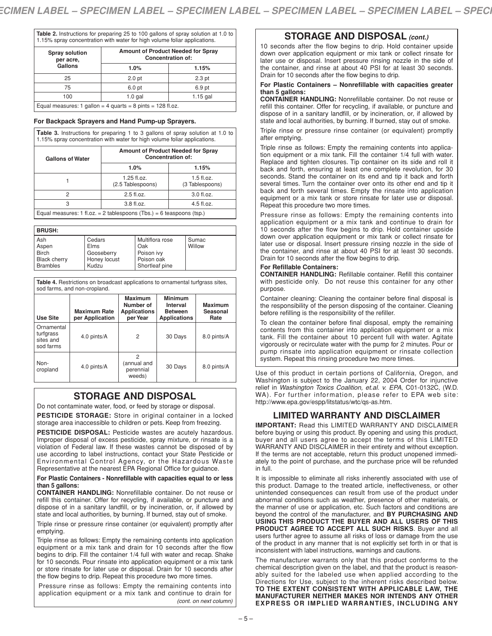**Table 2.** Instructions for preparing 25 to 100 gallons of spray solution at 1.0 to 1.15% spray concentration with water for high volume foliar applications.

| <b>Spray solution</b><br>per acre, | Amount of Product Needed for Spray<br><b>Concentration of:</b> |                   |  |
|------------------------------------|----------------------------------------------------------------|-------------------|--|
| Gallons                            | 1.0%                                                           | 1.15%             |  |
| 25                                 | 2.0 <sub>pt</sub>                                              | 2.3 <sub>pt</sub> |  |
| 75                                 | 6.0 pt                                                         | 6.9 pt            |  |
| 100                                | $1.0$ gal                                                      | $1.15$ gal        |  |
|                                    | $100H -$                                                       |                   |  |

ual measures: 1 gallon = 4 quarts = 8 pints = 128 fl.oz.

# **For Backpack Sprayers and Hand Pump-up Sprayers.**

**Table 3.** Instructions for preparing 1 to 3 gallons of spray solution at 1.0 to 1.15% spray concentration with water for high volume foliar applications.

| <b>Gallons of Water</b>                                                    | Amount of Product Needed for Spray<br><b>Concentration of:</b> |                                 |  |  |
|----------------------------------------------------------------------------|----------------------------------------------------------------|---------------------------------|--|--|
|                                                                            | 1.0%                                                           | 1.15%                           |  |  |
|                                                                            | $1.25$ fl.oz.<br>(2.5 Tablespoons)                             | $1.5$ fl.oz.<br>(3 Tablespoons) |  |  |
| 2                                                                          | 2.5 fl.oz.                                                     | 3.0 fl.oz.                      |  |  |
| 3                                                                          | 3.8 fl.oz.                                                     | $4.5$ fl.oz.                    |  |  |
| Equal measures: $1$ fl.oz. = $2$ tablespoons (Tbs.) = $6$ teaspoons (tsp.) |                                                                |                                 |  |  |

BBUCH.

| --------            |              |                 |        |
|---------------------|--------------|-----------------|--------|
| Ash                 | Cedars       | Multiflora rose | Sumac  |
| Aspen               | <b>Elms</b>  | Oak             | Willow |
| <b>Birch</b>        | Gooseberry   | Poison ivy      |        |
| <b>Black cherry</b> | Honey locust | Poison oak      |        |
| <b>Brambles</b>     | Kudzu        | Shortleaf pine  |        |

**Table 4.** Restrictions on broadcast applications to ornamental turfgrass sites, sod farms, and non-cropland.

| Use Site                                          | <b>Maximum Rate</b><br>per Application | <b>Maximum</b><br>Number of<br><b>Applications</b><br>per Year | <b>Minimum</b><br>Interval<br><b>Between</b><br><b>Applications</b> | <b>Maximum</b><br>Seasonal<br>Rate |
|---------------------------------------------------|----------------------------------------|----------------------------------------------------------------|---------------------------------------------------------------------|------------------------------------|
| Ornamental<br>turfgrass<br>sites and<br>sod farms | 4.0 pints/A                            | 2                                                              | 30 Days                                                             | 8.0 pints/A                        |
| Non-<br>cropland                                  | 4.0 pints/A                            | (annual and<br>perennial<br>weeds)                             | 30 Days                                                             | 8.0 pints/A                        |

# **STORAGE AND DISPOSAL**

Do not contaminate water, food, or feed by storage or disposal.

**PESTICIDE STORAGE:** Store in original container in a locked storage area inaccessible to children or pets. Keep from freezing.

**PESTICIDE DISPOSAL:** Pesticide wastes are acutely hazardous. Improper disposal of excess pesticide, spray mixture, or rinsate is a violation of Federal law. If these wastes cannot be disposed of by use according to label instructions, contact your State Pesticide or Environmental Control Agency, or the Hazardous Waste Representative at the nearest EPA Regional Office for guidance.

#### **For Plastic Containers - Nonrefillable with capacities equal to or less than 5 gallons:**

**CONTAINER HANDLING:** Nonrefillable container. Do not reuse or refill this container. Offer for recycling, if available, or puncture and dispose of in a sanitary landfill, or by incineration, or, if allowed by state and local authorities, by burning. If burned, stay out of smoke.

Triple rinse or pressure rinse container (or equivalent) promptly after emptying.

Triple rinse as follows: Empty the remaining contents into application equipment or a mix tank and drain for 10 seconds after the flow begins to drip. Fill the container 1/4 full with water and recap. Shake for 10 seconds. Pour rinsate into application equipment or a mix tank or store rinsate for later use or disposal. Drain for 10 seconds after the flow begins to drip. Repeat this procedure two more times.

Pressure rinse as follows: Empty the remaining contents into application equipment or a mix tank and continue to drain for

# **STORAGE AND DISPOSAL** *(cont.)*

10 seconds after the flow begins to drip. Hold container upside down over application equipment or mix tank or collect rinsate for later use or disposal. Insert pressure rinsing nozzle in the side of the container, and rinse at about 40 PSI for at least 30 seconds. Drain for 10 seconds after the flow begins to drip.

# **For Plastic Containers – Nonrefillable with capacities greater than 5 gallons:**

**CONTAINER HANDLING:** Nonrefillable container. Do not reuse or refill this container. Offer for recycling, if available, or puncture and dispose of in a sanitary landfill, or by incineration, or, if allowed by state and local authorities, by burning. If burned, stay out of smoke.

Triple rinse or pressure rinse container (or equivalent) promptly after emptying.

Triple rinse as follows: Empty the remaining contents into application equipment or a mix tank. Fill the container 1/4 full with water. Replace and tighten closures. Tip container on its side and roll it back and forth, ensuring at least one complete revolution, for 30 seconds. Stand the container on its end and tip it back and forth several times. Turn the container over onto its other end and tip it back and forth several times. Empty the rinsate into application equipment or a mix tank or store rinsate for later use or disposal. Repeat this procedure two more times.

Pressure rinse as follows: Empty the remaining contents into application equipment or a mix tank and continue to drain for 10 seconds after the flow begins to drip. Hold container upside down over application equipment or mix tank or collect rinsate for later use or disposal. Insert pressure rinsing nozzle in the side of the container, and rinse at about 40 PSI for at least 30 seconds. Drain for 10 seconds after the flow begins to drip.

# **For Refillable Containers:**

**CONTAINER HANDLING:** Refillable container. Refill this container with pesticide only. Do not reuse this container for any other purpose.

Container cleaning: Cleaning the container before final disposal is the responsibility of the person disposing of the container. Cleaning before refilling is the responsibility of the refiller.

To clean the container before final disposal, empty the remaining contents from this container into application equipment or a mix tank. Fill the container about 10 percent full with water. Agitate vigorously or recirculate water with the pump for 2 minutes. Pour or pump rinsate into application equipment or rinsate collection system. Repeat this rinsing procedure two more times.

Use of this product in certain portions of California, Oregon, and Washington is subject to the January 22, 2004 Order for injunctive relief in *Washington Toxics Coalition, et.al. v. EPA*, C01-0132C, (W.D. WA). For further information, please refer to EPA web site: http://www.epa.gov/espp/litstatus/wtc/qs-as.htm.

# **LIMITED WARRANTY AND DISCLAIMER**

**IMPORTANT:** Read this LIMITED WARRANTY AND DISCLAIMER before buying or using this product. By opening and using this product, buyer and all users agree to accept the terms of this LIMITED WARRANTY AND DISCLAIMER in their entirety and without exception. If the terms are not acceptable, return this product unopened immediately to the point of purchase, and the purchase price will be refunded in full.

It is impossible to eliminate all risks inherently associated with use of this product. Damage to the treated article, ineffectiveness, or other unintended consequences can result from use of the product under abnormal conditions such as weather, presence of other materials, or the manner of use or application, etc. Such factors and conditions are beyond the control of the manufacturer, and **BY PURCHASING AND USING THIS PRODUCT THE BUYER AND ALL USERS OF THIS PRODUCT AGREE TO ACCEPT ALL SUCH RISKS**. Buyer and all users further agree to assume all risks of loss or damage from the use of the product in any manner that is not explicitly set forth in or that is inconsistent with label instructions, warnings and cautions.

The manufacturer warrants only that this product conforms to the chemical description given on the label, and that the product is reasonably suited for the labeled use when applied according to the Directions for Use, subject to the inherent risks described below. **TO THE EXTENT CONSISTENT WITH APPLICABLE LAW, THE MANUFACTURER NEITHER MAKES NOR INTENDS ANY OTHER EXPRESS OR IMPLIED WARRANTIES, INCLUDING ANY** *(cont. on next column)*